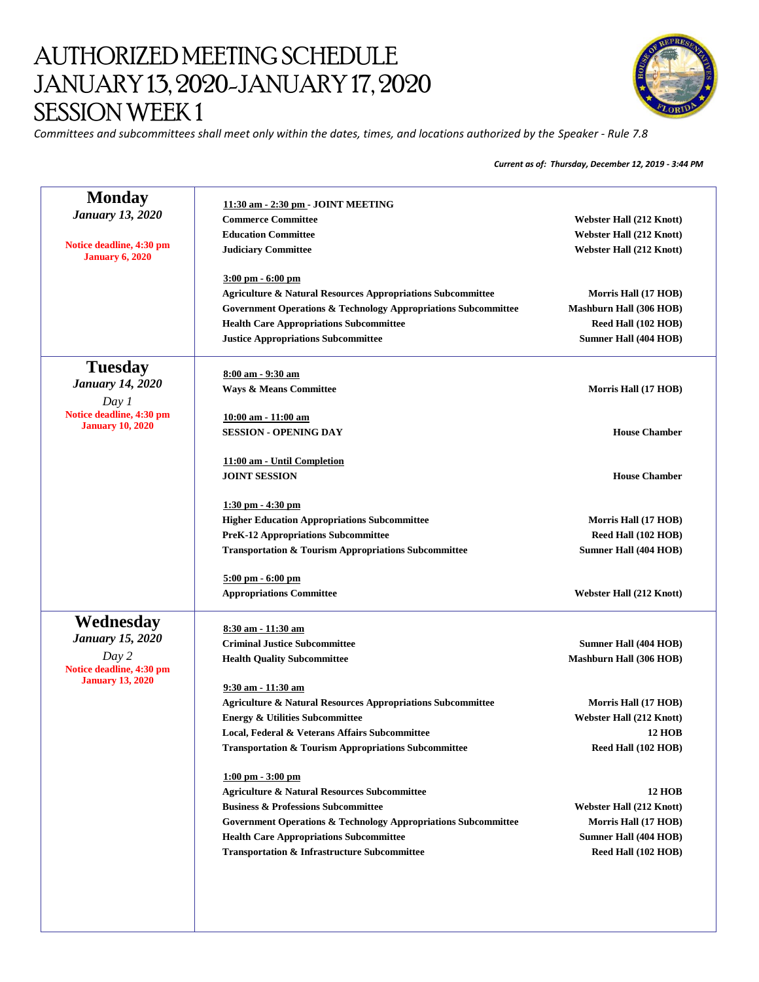## AUTHORIZED MEETING SCHEDULE JANUARY 13, 2020-JANUARY 17, 2020 SESSION WEEK 1



*Committees and subcommittees shall meet only within the dates, times, and locations authorized by the Speaker - Rule 7.8*

*Current as of: Thursday, December 12, 2019 - 3:44 PM*

| <b>Webster Hall (212 Knott)</b><br><b>Webster Hall (212 Knott)</b><br><b>Webster Hall (212 Knott)</b>                                                                |
|----------------------------------------------------------------------------------------------------------------------------------------------------------------------|
|                                                                                                                                                                      |
|                                                                                                                                                                      |
|                                                                                                                                                                      |
|                                                                                                                                                                      |
| <b>Agriculture &amp; Natural Resources Appropriations Subcommittee</b><br>Morris Hall (17 HOB)                                                                       |
| <b>Government Operations &amp; Technology Appropriations Subcommittee</b><br><b>Mashburn Hall (306 HOB)</b>                                                          |
| Reed Hall (102 HOB)                                                                                                                                                  |
| Sumner Hall (404 HOB)                                                                                                                                                |
|                                                                                                                                                                      |
| Morris Hall (17 HOB)                                                                                                                                                 |
|                                                                                                                                                                      |
|                                                                                                                                                                      |
| <b>House Chamber</b>                                                                                                                                                 |
|                                                                                                                                                                      |
|                                                                                                                                                                      |
| <b>House Chamber</b>                                                                                                                                                 |
|                                                                                                                                                                      |
| <b>Higher Education Appropriations Subcommittee</b><br>Morris Hall (17 HOB)                                                                                          |
| Reed Hall (102 HOB)                                                                                                                                                  |
| <b>Transportation &amp; Tourism Appropriations Subcommittee</b><br>Sumner Hall (404 HOB)                                                                             |
|                                                                                                                                                                      |
| <b>Webster Hall (212 Knott)</b>                                                                                                                                      |
|                                                                                                                                                                      |
| Sumner Hall (404 HOB)                                                                                                                                                |
| <b>Mashburn Hall (306 HOB)</b>                                                                                                                                       |
|                                                                                                                                                                      |
|                                                                                                                                                                      |
| <b>Agriculture &amp; Natural Resources Appropriations Subcommittee</b><br>Morris Hall (17 HOB)                                                                       |
| <b>Webster Hall (212 Knott)</b>                                                                                                                                      |
| <b>12 HOB</b><br>Local, Federal & Veterans Affairs Subcommittee                                                                                                      |
| <b>Transportation &amp; Tourism Appropriations Subcommittee</b><br>Reed Hall (102 HOB)                                                                               |
|                                                                                                                                                                      |
| <b>12 HOB</b>                                                                                                                                                        |
| <b>Webster Hall (212 Knott)</b>                                                                                                                                      |
| Government Operations & Technology Appropriations Subcommittee<br>Morris Hall (17 HOB)                                                                               |
| <b>Sumner Hall (404 HOB)</b>                                                                                                                                         |
| Reed Hall (102 HOB)                                                                                                                                                  |
| <b>Agriculture &amp; Natural Resources Subcommittee</b><br><b>Health Care Appropriations Subcommittee</b><br><b>Transportation &amp; Infrastructure Subcommittee</b> |